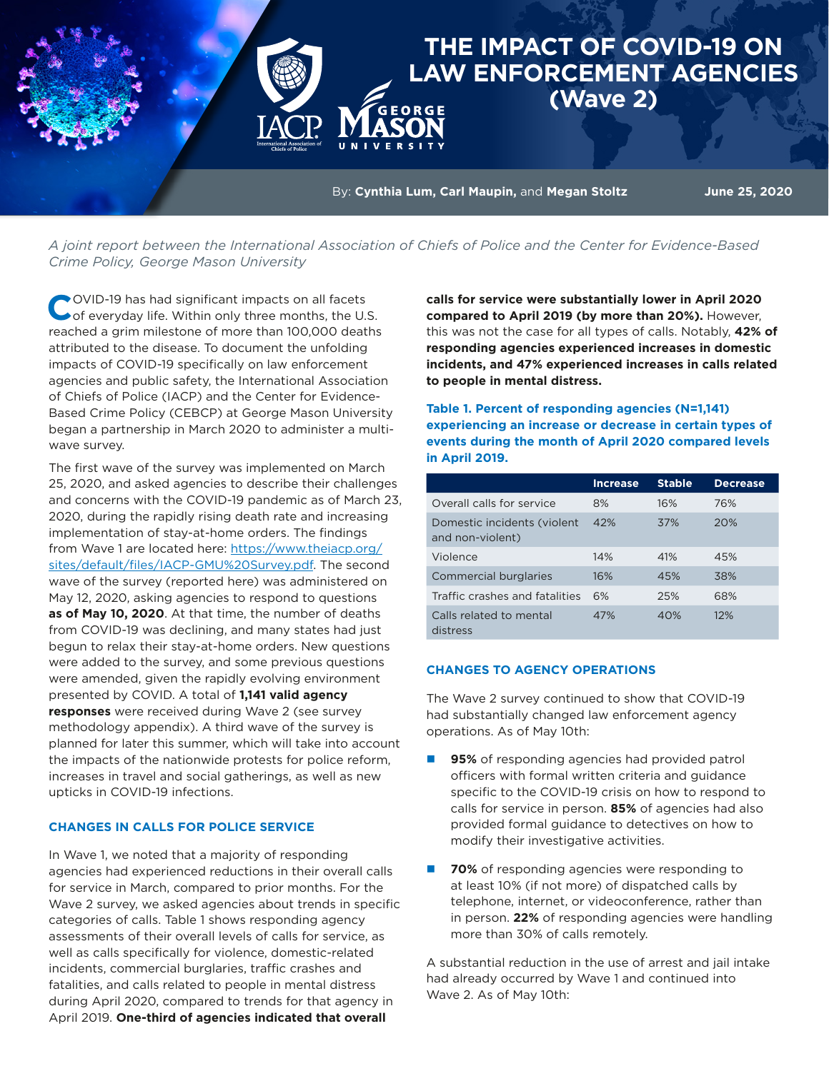# **THE IMPACT OF COVID-19 ON LAW ENFORCEMENT AGENCIES (Wave 2)**

By: **Cynthia Lum, Carl Maupin, and Megan Stoltz June 25, 2020** 

*A joint report between the International Association of Chiefs of Police and the Center for Evidence-Based Crime Policy, George Mason University*

COVID-19 has had significant impacts on all facets<br>
of everyday life. Within only three months, the U.S. reached a grim milestone of more than 100,000 deaths attributed to the disease. To document the unfolding impacts of COVID-19 specifically on law enforcement agencies and public safety, the International Association of Chiefs of Police (IACP) and the Center for Evidence-Based Crime Policy (CEBCP) at George Mason University began a partnership in March 2020 to administer a multiwave survey.

The first wave of the survey was implemented on March 25, 2020, and asked agencies to describe their challenges and concerns with the COVID-19 pandemic as of March 23, 2020, during the rapidly rising death rate and increasing implementation of stay-at-home orders. The findings from Wave 1 are located here: [https://www.theiacp.org/](https://www.theiacp.org/sites/default/files/IACP-GMU%20Survey.pdf) [sites/default/files/IACP-GMU%20Survey.pdf.](https://www.theiacp.org/sites/default/files/IACP-GMU%20Survey.pdf) The second wave of the survey (reported here) was administered on May 12, 2020, asking agencies to respond to questions **as of May 10, 2020**. At that time, the number of deaths from COVID-19 was declining, and many states had just begun to relax their stay-at-home orders. New questions were added to the survey, and some previous questions were amended, given the rapidly evolving environment presented by COVID. A total of **1,141 valid agency responses** were received during Wave 2 (see survey methodology appendix). A third wave of the survey is planned for later this summer, which will take into account the impacts of the nationwide protests for police reform, increases in travel and social gatherings, as well as new upticks in COVID-19 infections.

## **CHANGES IN CALLS FOR POLICE SERVICE**

In Wave 1, we noted that a majority of responding agencies had experienced reductions in their overall calls for service in March, compared to prior months. For the Wave 2 survey, we asked agencies about trends in specific categories of calls. Table 1 shows responding agency assessments of their overall levels of calls for service, as well as calls specifically for violence, domestic-related incidents, commercial burglaries, traffic crashes and fatalities, and calls related to people in mental distress during April 2020, compared to trends for that agency in April 2019. **One-third of agencies indicated that overall** 

**calls for service were substantially lower in April 2020 compared to April 2019 (by more than 20%).** However, this was not the case for all types of calls. Notably, **42% of responding agencies experienced increases in domestic incidents, and 47% experienced increases in calls related to people in mental distress.**

**Table 1. Percent of responding agencies (N=1,141) experiencing an increase or decrease in certain types of events during the month of April 2020 compared levels in April 2019.**

|                                                 | <b>Increase</b> | <b>Stable</b> | <b>Decrease</b> |
|-------------------------------------------------|-----------------|---------------|-----------------|
| Overall calls for service                       | 8%              | 16%           | 76%             |
| Domestic incidents (violent<br>and non-violent) | 42%             | 37%           | 20%             |
| Violence                                        | 14%             | 41%           | 45%             |
| Commercial burglaries                           | 16%             | 45%           | 38%             |
| Traffic crashes and fatalities                  | 6%              | 25%           | 68%             |
| Calls related to mental<br>distress             | 47%             | 40%           | 12%             |

#### **CHANGES TO AGENCY OPERATIONS**

The Wave 2 survey continued to show that COVID-19 had substantially changed law enforcement agency operations. As of May 10th:

- **95%** of responding agencies had provided patrol officers with formal written criteria and guidance specific to the COVID-19 crisis on how to respond to calls for service in person. **85%** of agencies had also provided formal guidance to detectives on how to modify their investigative activities.
- **70%** of responding agencies were responding to at least 10% (if not more) of dispatched calls by telephone, internet, or videoconference, rather than in person. **22%** of responding agencies were handling more than 30% of calls remotely.

A substantial reduction in the use of arrest and jail intake had already occurred by Wave 1 and continued into Wave 2. As of May 10th: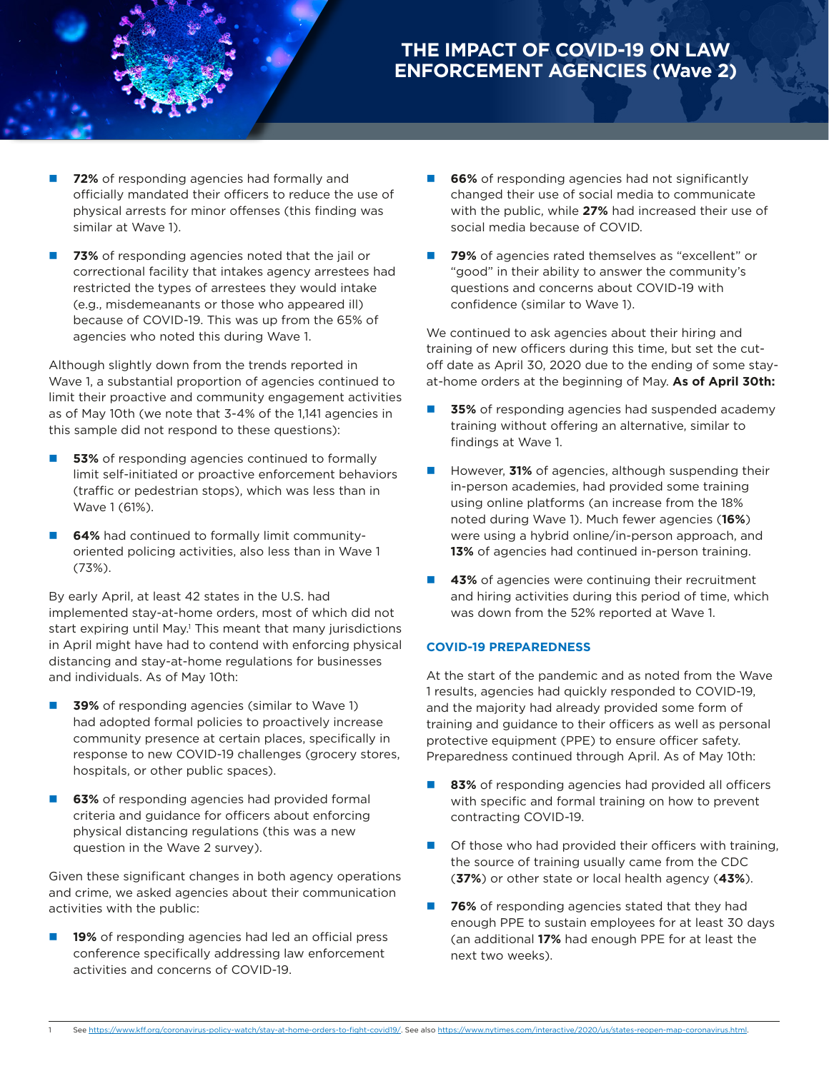# **THE IMPACT OF COVID-19 ON LAW ENFORCEMENT AGENCIES (Wave 2)**

- **72%** of responding agencies had formally and officially mandated their officers to reduce the use of physical arrests for minor offenses (this finding was similar at Wave 1).
- **73%** of responding agencies noted that the jail or correctional facility that intakes agency arrestees had restricted the types of arrestees they would intake (e.g., misdemeanants or those who appeared ill) because of COVID-19. This was up from the 65% of agencies who noted this during Wave 1.

Although slightly down from the trends reported in Wave 1, a substantial proportion of agencies continued to limit their proactive and community engagement activities as of May 10th (we note that 3-4% of the 1,141 agencies in this sample did not respond to these questions):

- **53%** of responding agencies continued to formally limit self-initiated or proactive enforcement behaviors (traffic or pedestrian stops), which was less than in Wave 1 (61%).
- **64%** had continued to formally limit communityoriented policing activities, also less than in Wave 1 (73%).

By early April, at least 42 states in the U.S. had implemented stay-at-home orders, most of which did not start expiring until May.<sup>1</sup> This meant that many jurisdictions in April might have had to contend with enforcing physical distancing and stay-at-home regulations for businesses and individuals. As of May 10th:

- **39%** of responding agencies (similar to Wave 1) had adopted formal policies to proactively increase community presence at certain places, specifically in response to new COVID-19 challenges (grocery stores, hospitals, or other public spaces).
- **63%** of responding agencies had provided formal criteria and guidance for officers about enforcing physical distancing regulations (this was a new question in the Wave 2 survey).

Given these significant changes in both agency operations and crime, we asked agencies about their communication activities with the public:

19% of responding agencies had led an official press conference specifically addressing law enforcement activities and concerns of COVID-19.

- **66%** of responding agencies had not significantly changed their use of social media to communicate with the public, while **27%** had increased their use of social media because of COVID.
- **1 79%** of agencies rated themselves as "excellent" or "good" in their ability to answer the community's questions and concerns about COVID-19 with confidence (similar to Wave 1).

We continued to ask agencies about their hiring and training of new officers during this time, but set the cutoff date as April 30, 2020 due to the ending of some stayat-home orders at the beginning of May. **As of April 30th:**

- **35%** of responding agencies had suspended academy training without offering an alternative, similar to findings at Wave 1.
- However, **31%** of agencies, although suspending their in-person academies, had provided some training using online platforms (an increase from the 18% noted during Wave 1). Much fewer agencies (**16%**) were using a hybrid online/in-person approach, and **13%** of agencies had continued in-person training.
- **43%** of agencies were continuing their recruitment and hiring activities during this period of time, which was down from the 52% reported at Wave 1.

## **COVID-19 PREPAREDNESS**

At the start of the pandemic and as noted from the Wave 1 results, agencies had quickly responded to COVID-19, and the majority had already provided some form of training and guidance to their officers as well as personal protective equipment (PPE) to ensure officer safety. Preparedness continued through April. As of May 10th:

- 83% of responding agencies had provided all officers with specific and formal training on how to prevent contracting COVID-19.
- Of those who had provided their officers with training, the source of training usually came from the CDC (**37%**) or other state or local health agency (**43%**).
- **76%** of responding agencies stated that they had enough PPE to sustain employees for at least 30 days (an additional **17%** had enough PPE for at least the next two weeks).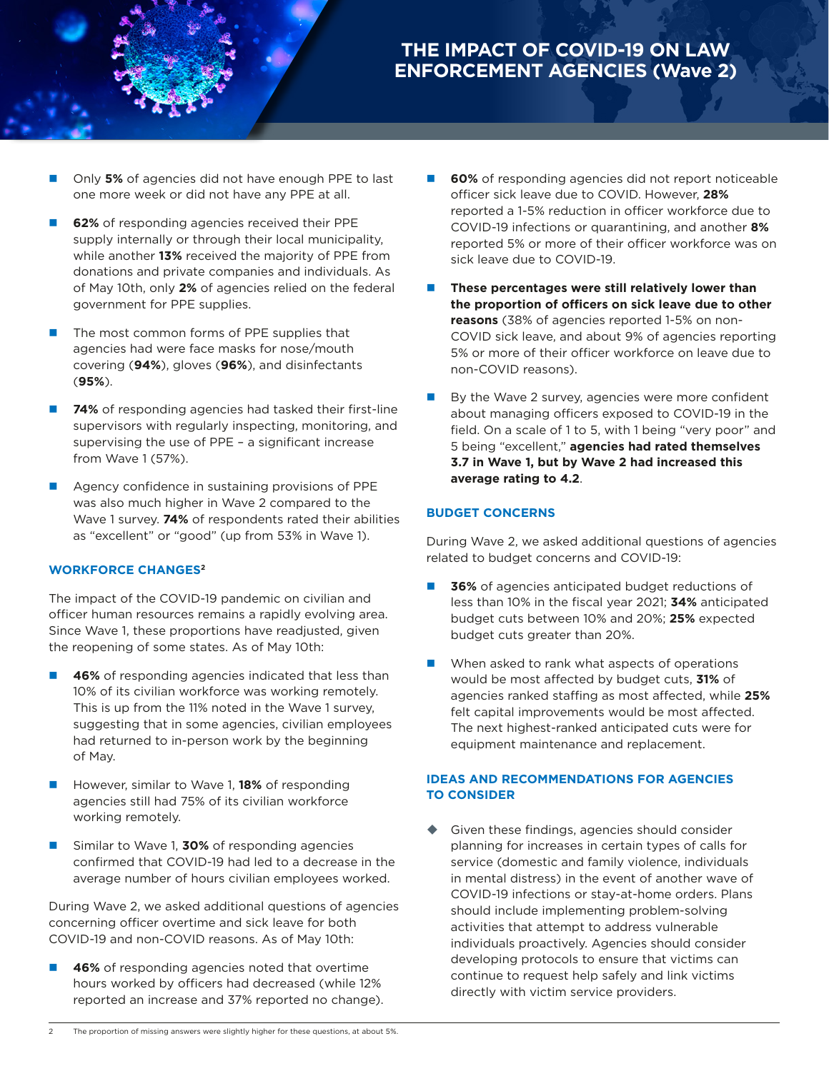

- Only 5% of agencies did not have enough PPE to last one more week or did not have any PPE at all.
- **62%** of responding agencies received their PPE supply internally or through their local municipality, while another **13%** received the majority of PPE from donations and private companies and individuals. As of May 10th, only **2%** of agencies relied on the federal government for PPE supplies.
- The most common forms of PPE supplies that agencies had were face masks for nose/mouth covering (**94%**), gloves (**96%**), and disinfectants (**95%**).
- **74%** of responding agencies had tasked their first-line supervisors with regularly inspecting, monitoring, and supervising the use of PPE – a significant increase from Wave 1 (57%).
- Agency confidence in sustaining provisions of PPE was also much higher in Wave 2 compared to the Wave 1 survey. **74%** of respondents rated their abilities as "excellent" or "good" (up from 53% in Wave 1).

#### **WORKFORCE CHANGES2**

The impact of the COVID-19 pandemic on civilian and officer human resources remains a rapidly evolving area. Since Wave 1, these proportions have readjusted, given the reopening of some states. As of May 10th:

- **46%** of responding agencies indicated that less than 10% of its civilian workforce was working remotely. This is up from the 11% noted in the Wave 1 survey, suggesting that in some agencies, civilian employees had returned to in-person work by the beginning of May.
- However, similar to Wave 1, **18%** of responding agencies still had 75% of its civilian workforce working remotely.
- Similar to Wave 1, **30%** of responding agencies confirmed that COVID-19 had led to a decrease in the average number of hours civilian employees worked.

During Wave 2, we asked additional questions of agencies concerning officer overtime and sick leave for both COVID-19 and non-COVID reasons. As of May 10th:

**46%** of responding agencies noted that overtime hours worked by officers had decreased (while 12% reported an increase and 37% reported no change).

- **60%** of responding agencies did not report noticeable officer sick leave due to COVID. However, **28%** reported a 1-5% reduction in officer workforce due to COVID-19 infections or quarantining, and another **8%** reported 5% or more of their officer workforce was on sick leave due to COVID-19.
- n **These percentages were still relatively lower than the proportion of officers on sick leave due to other reasons** (38% of agencies reported 1-5% on non-COVID sick leave, and about 9% of agencies reporting 5% or more of their officer workforce on leave due to non-COVID reasons).
- By the Wave 2 survey, agencies were more confident about managing officers exposed to COVID-19 in the field. On a scale of 1 to 5, with 1 being "very poor" and 5 being "excellent," **agencies had rated themselves 3.7 in Wave 1, but by Wave 2 had increased this average rating to 4.2**.

#### **BUDGET CONCERNS**

During Wave 2, we asked additional questions of agencies related to budget concerns and COVID-19:

- **36%** of agencies anticipated budget reductions of less than 10% in the fiscal year 2021; **34%** anticipated budget cuts between 10% and 20%; **25%** expected budget cuts greater than 20%.
- When asked to rank what aspects of operations would be most affected by budget cuts, **31%** of agencies ranked staffing as most affected, while **25%** felt capital improvements would be most affected. The next highest-ranked anticipated cuts were for equipment maintenance and replacement.

## **IDEAS AND RECOMMENDATIONS FOR AGENCIES TO CONSIDER**

 Given these findings, agencies should consider planning for increases in certain types of calls for service (domestic and family violence, individuals in mental distress) in the event of another wave of COVID-19 infections or stay-at-home orders. Plans should include implementing problem-solving activities that attempt to address vulnerable individuals proactively. Agencies should consider developing protocols to ensure that victims can continue to request help safely and link victims directly with victim service providers.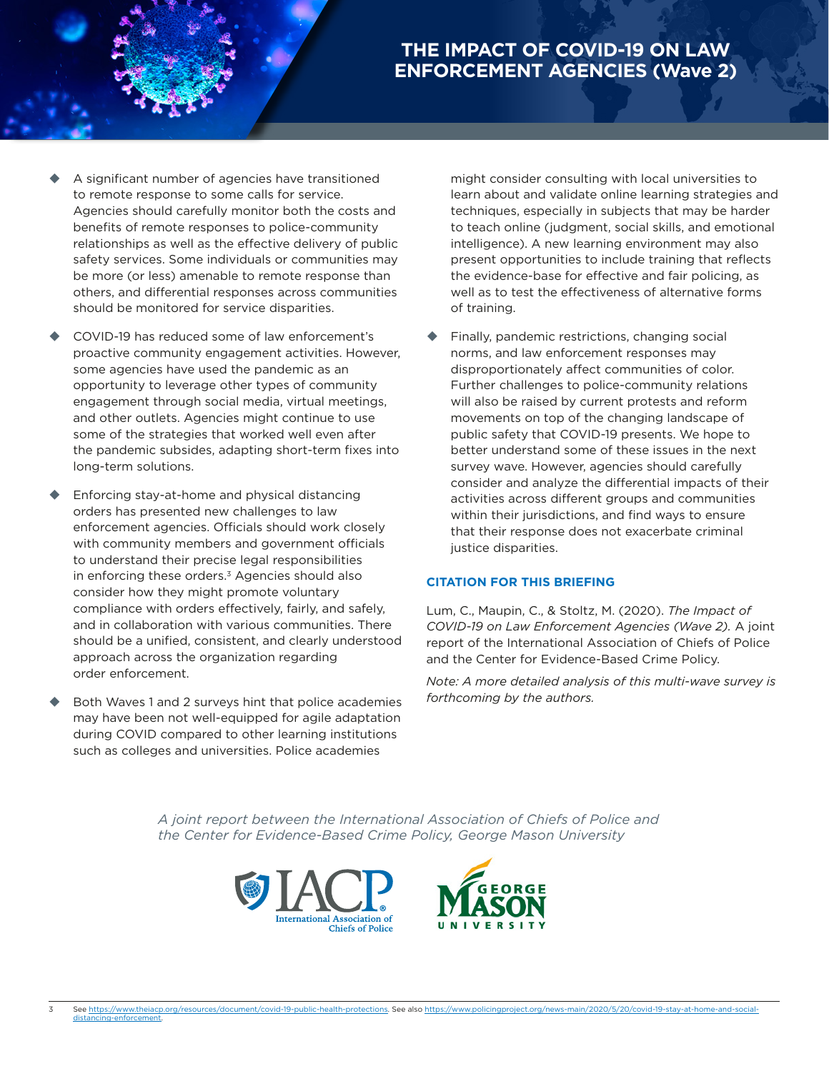# **THE IMPACT OF COVID-19 ON LAW ENFORCEMENT AGENCIES (Wave 2)**

- A significant number of agencies have transitioned to remote response to some calls for service. Agencies should carefully monitor both the costs and benefits of remote responses to police-community relationships as well as the effective delivery of public safety services. Some individuals or communities may be more (or less) amenable to remote response than others, and differential responses across communities should be monitored for service disparities.
- COVID-19 has reduced some of law enforcement's proactive community engagement activities. However, some agencies have used the pandemic as an opportunity to leverage other types of community engagement through social media, virtual meetings, and other outlets. Agencies might continue to use some of the strategies that worked well even after the pandemic subsides, adapting short-term fixes into long-term solutions.
- Enforcing stay-at-home and physical distancing orders has presented new challenges to law enforcement agencies. Officials should work closely with community members and government officials to understand their precise legal responsibilities in enforcing these orders.<sup>3</sup> Agencies should also consider how they might promote voluntary compliance with orders effectively, fairly, and safely, and in collaboration with various communities. There should be a unified, consistent, and clearly understood approach across the organization regarding order enforcement.
- Both Waves 1 and 2 surveys hint that police academies may have been not well-equipped for agile adaptation during COVID compared to other learning institutions such as colleges and universities. Police academies

might consider consulting with local universities to learn about and validate online learning strategies and techniques, especially in subjects that may be harder to teach online (judgment, social skills, and emotional intelligence). A new learning environment may also present opportunities to include training that reflects the evidence-base for effective and fair policing, as well as to test the effectiveness of alternative forms of training.

 Finally, pandemic restrictions, changing social norms, and law enforcement responses may disproportionately affect communities of color. Further challenges to police-community relations will also be raised by current protests and reform movements on top of the changing landscape of public safety that COVID-19 presents. We hope to better understand some of these issues in the next survey wave. However, agencies should carefully consider and analyze the differential impacts of their activities across different groups and communities within their jurisdictions, and find ways to ensure that their response does not exacerbate criminal justice disparities.

## **CITATION FOR THIS BRIEFING**

Lum, C., Maupin, C., & Stoltz, M. (2020). *The Impact of COVID-19 on Law Enforcement Agencies (Wave 2).* A joint report of the International Association of Chiefs of Police and the Center for Evidence-Based Crime Policy.

*Note: A more detailed analysis of this multi-wave survey is forthcoming by the authors.*

*A joint report between the International Association of Chiefs of Police and the Center for Evidence-Based Crime Policy, George Mason University*